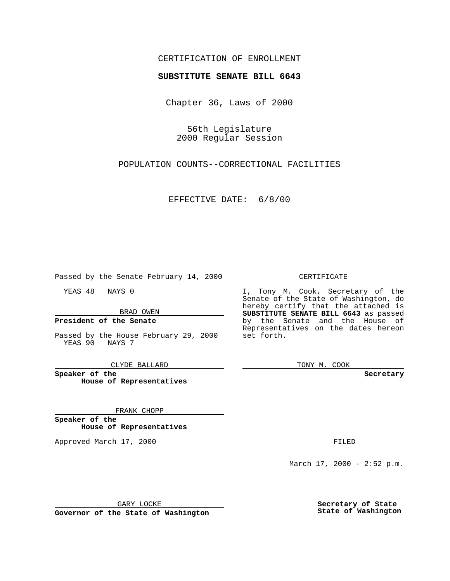## CERTIFICATION OF ENROLLMENT

# **SUBSTITUTE SENATE BILL 6643**

Chapter 36, Laws of 2000

56th Legislature 2000 Regular Session

POPULATION COUNTS--CORRECTIONAL FACILITIES

EFFECTIVE DATE: 6/8/00

Passed by the Senate February 14, 2000

YEAS 48 NAYS 0

BRAD OWEN

### **President of the Senate**

Passed by the House February 29, 2000 YEAS 90 NAYS 7

CLYDE BALLARD

**Speaker of the House of Representatives**

#### FRANK CHOPP

**Speaker of the House of Representatives**

Approved March 17, 2000 FILED

#### CERTIFICATE

I, Tony M. Cook, Secretary of the Senate of the State of Washington, do hereby certify that the attached is **SUBSTITUTE SENATE BILL 6643** as passed by the Senate and the House of Representatives on the dates hereon set forth.

TONY M. COOK

**Secretary**

March 17, 2000 - 2:52 p.m.

GARY LOCKE

**Governor of the State of Washington**

**Secretary of State State of Washington**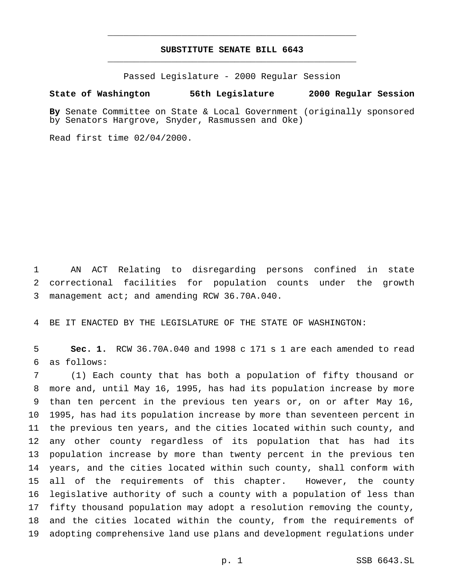# **SUBSTITUTE SENATE BILL 6643** \_\_\_\_\_\_\_\_\_\_\_\_\_\_\_\_\_\_\_\_\_\_\_\_\_\_\_\_\_\_\_\_\_\_\_\_\_\_\_\_\_\_\_\_\_\_\_

\_\_\_\_\_\_\_\_\_\_\_\_\_\_\_\_\_\_\_\_\_\_\_\_\_\_\_\_\_\_\_\_\_\_\_\_\_\_\_\_\_\_\_\_\_\_\_

Passed Legislature - 2000 Regular Session

#### **State of Washington 56th Legislature 2000 Regular Session**

**By** Senate Committee on State & Local Government (originally sponsored by Senators Hargrove, Snyder, Rasmussen and Oke)

Read first time 02/04/2000.

 AN ACT Relating to disregarding persons confined in state correctional facilities for population counts under the growth management act; and amending RCW 36.70A.040.

BE IT ENACTED BY THE LEGISLATURE OF THE STATE OF WASHINGTON:

 **Sec. 1.** RCW 36.70A.040 and 1998 c 171 s 1 are each amended to read as follows:

 (1) Each county that has both a population of fifty thousand or more and, until May 16, 1995, has had its population increase by more than ten percent in the previous ten years or, on or after May 16, 1995, has had its population increase by more than seventeen percent in the previous ten years, and the cities located within such county, and any other county regardless of its population that has had its population increase by more than twenty percent in the previous ten years, and the cities located within such county, shall conform with all of the requirements of this chapter. However, the county legislative authority of such a county with a population of less than fifty thousand population may adopt a resolution removing the county, and the cities located within the county, from the requirements of adopting comprehensive land use plans and development regulations under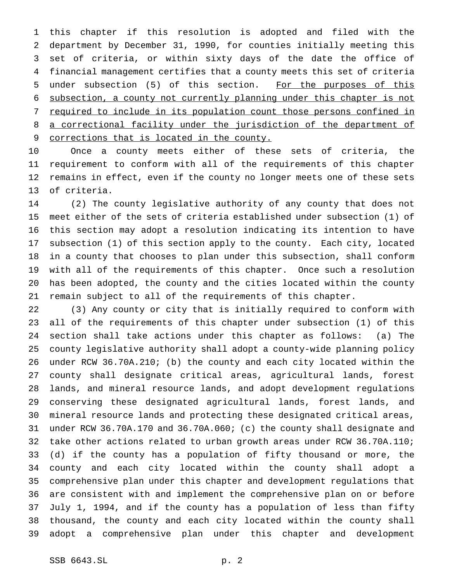this chapter if this resolution is adopted and filed with the department by December 31, 1990, for counties initially meeting this set of criteria, or within sixty days of the date the office of financial management certifies that a county meets this set of criteria 5 under subsection (5) of this section. For the purposes of this subsection, a county not currently planning under this chapter is not required to include in its population count those persons confined in a correctional facility under the jurisdiction of the department of corrections that is located in the county.

 Once a county meets either of these sets of criteria, the requirement to conform with all of the requirements of this chapter remains in effect, even if the county no longer meets one of these sets of criteria.

 (2) The county legislative authority of any county that does not meet either of the sets of criteria established under subsection (1) of this section may adopt a resolution indicating its intention to have subsection (1) of this section apply to the county. Each city, located in a county that chooses to plan under this subsection, shall conform with all of the requirements of this chapter. Once such a resolution has been adopted, the county and the cities located within the county remain subject to all of the requirements of this chapter.

 (3) Any county or city that is initially required to conform with all of the requirements of this chapter under subsection (1) of this section shall take actions under this chapter as follows: (a) The county legislative authority shall adopt a county-wide planning policy under RCW 36.70A.210; (b) the county and each city located within the county shall designate critical areas, agricultural lands, forest lands, and mineral resource lands, and adopt development regulations conserving these designated agricultural lands, forest lands, and mineral resource lands and protecting these designated critical areas, under RCW 36.70A.170 and 36.70A.060; (c) the county shall designate and take other actions related to urban growth areas under RCW 36.70A.110; (d) if the county has a population of fifty thousand or more, the county and each city located within the county shall adopt a comprehensive plan under this chapter and development regulations that are consistent with and implement the comprehensive plan on or before July 1, 1994, and if the county has a population of less than fifty thousand, the county and each city located within the county shall adopt a comprehensive plan under this chapter and development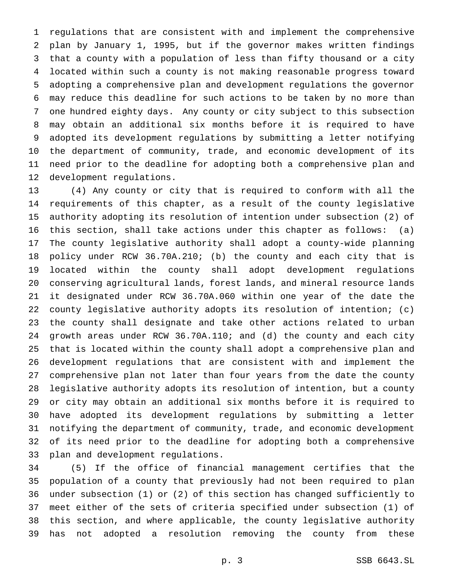regulations that are consistent with and implement the comprehensive plan by January 1, 1995, but if the governor makes written findings that a county with a population of less than fifty thousand or a city located within such a county is not making reasonable progress toward adopting a comprehensive plan and development regulations the governor may reduce this deadline for such actions to be taken by no more than one hundred eighty days. Any county or city subject to this subsection may obtain an additional six months before it is required to have adopted its development regulations by submitting a letter notifying the department of community, trade, and economic development of its need prior to the deadline for adopting both a comprehensive plan and development regulations.

 (4) Any county or city that is required to conform with all the requirements of this chapter, as a result of the county legislative authority adopting its resolution of intention under subsection (2) of this section, shall take actions under this chapter as follows: (a) The county legislative authority shall adopt a county-wide planning policy under RCW 36.70A.210; (b) the county and each city that is located within the county shall adopt development regulations conserving agricultural lands, forest lands, and mineral resource lands it designated under RCW 36.70A.060 within one year of the date the county legislative authority adopts its resolution of intention; (c) the county shall designate and take other actions related to urban growth areas under RCW 36.70A.110; and (d) the county and each city that is located within the county shall adopt a comprehensive plan and development regulations that are consistent with and implement the comprehensive plan not later than four years from the date the county legislative authority adopts its resolution of intention, but a county or city may obtain an additional six months before it is required to have adopted its development regulations by submitting a letter notifying the department of community, trade, and economic development of its need prior to the deadline for adopting both a comprehensive plan and development regulations.

 (5) If the office of financial management certifies that the population of a county that previously had not been required to plan under subsection (1) or (2) of this section has changed sufficiently to meet either of the sets of criteria specified under subsection (1) of this section, and where applicable, the county legislative authority has not adopted a resolution removing the county from these